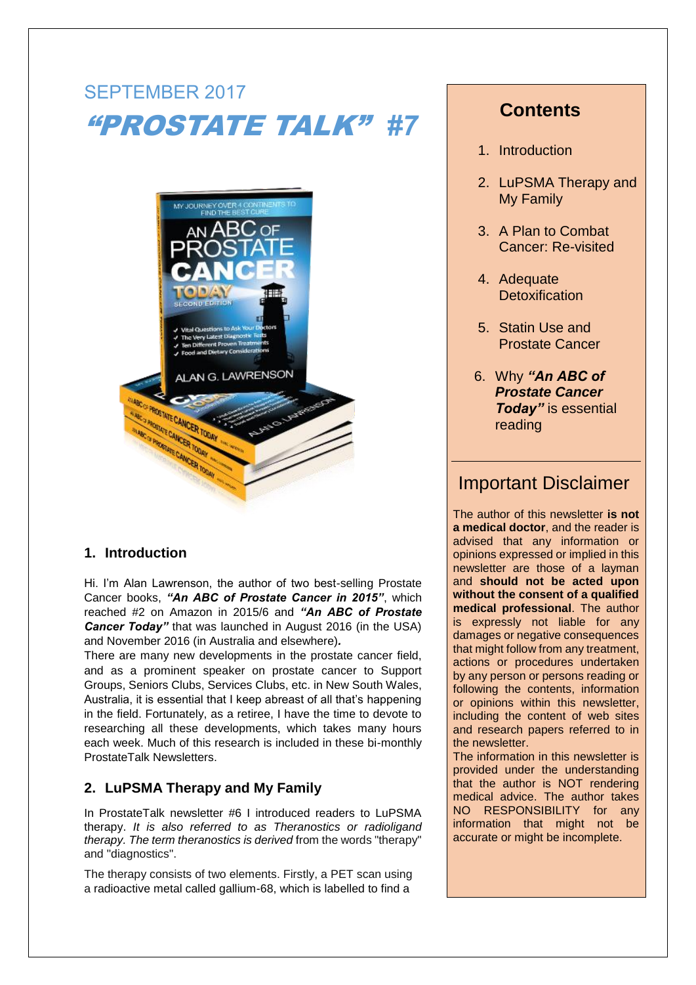# SEPTEMBER 2017 "PROSTATE TALK" *#7*



### **1. Introduction**

Hi. I'm Alan Lawrenson, the author of two best-selling Prostate Cancer books, *"An ABC of Prostate Cancer in 2015"*, which reached #2 on Amazon in 2015/6 and *"An ABC of Prostate Cancer Today* that was launched in August 2016 (in the USA) and November 2016 (in Australia and elsewhere)*.*

There are many new developments in the prostate cancer field, and as a prominent speaker on prostate cancer to Support Groups, Seniors Clubs, Services Clubs, etc. in New South Wales, Australia, it is essential that I keep abreast of all that's happening in the field. Fortunately, as a retiree, I have the time to devote to researching all these developments, which takes many hours each week. Much of this research is included in these bi-monthly ProstateTalk Newsletters.

### **2. LuPSMA Therapy and My Family**

In ProstateTalk newsletter #6 I introduced readers to LuPSMA therapy. *It is also referred to as Theranostics or radioligand therapy. The term theranostics is derived* from the words "therapy" and "diagnostics".

The therapy consists of two elements. Firstly, a PET scan using a radioactive metal called gallium-68, which is labelled to find a

## **Contents**

- 1. Introduction
- 2. LuPSMA Therapy and My Family
- 3. A Plan to Combat Cancer: Re-visited
- 4. Adequate **Detoxification**
- 5. Statin Use and Prostate Cancer
- 6. Why *"An ABC of Prostate Cancer Today"* is essential reading

# Important Disclaimer

The author of this newsletter **is not a medical doctor**, and the reader is advised that any information or opinions expressed or implied in this newsletter are those of a layman and **should not be acted upon without the consent of a qualified medical professional**. The author is expressly not liable for any damages or negative consequences that might follow from any treatment, actions or procedures undertaken by any person or persons reading or following the contents, information or opinions within this newsletter, including the content of web sites and research papers referred to in the newsletter.

The information in this newsletter is provided under the understanding that the author is NOT rendering medical advice. The author takes NO RESPONSIBILITY for any information that might not be accurate or might be incomplete.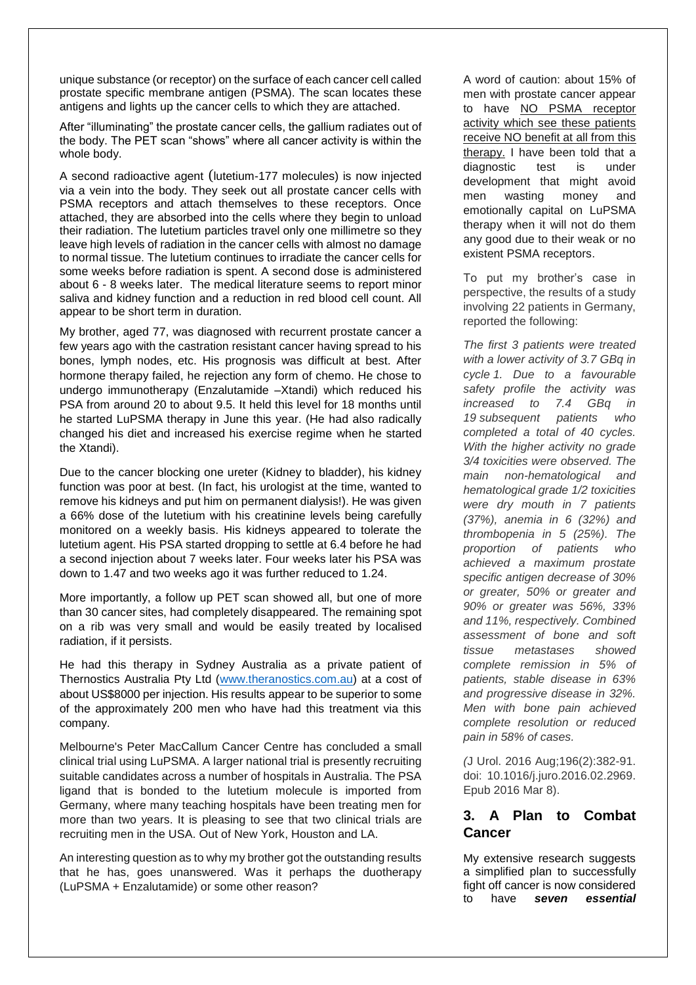unique substance (or receptor) on the surface of each cancer cell called prostate specific membrane antigen (PSMA). The scan locates these antigens and lights up the cancer cells to which they are attached.

After "illuminating" the prostate cancer cells, the gallium radiates out of the body. The PET scan "shows" where all cancer activity is within the whole body.

A second radioactive agent (lutetium-177 molecules) is now injected via a vein into the body. They seek out all prostate cancer cells with PSMA receptors and attach themselves to these receptors. Once attached, they are absorbed into the cells where they begin to unload their radiation. The lutetium particles travel only one millimetre so they leave high levels of radiation in the cancer cells with almost no damage to normal tissue. The lutetium continues to irradiate the cancer cells for some weeks before radiation is spent. A second dose is administered about 6 - 8 weeks later. The medical literature seems to report minor saliva and kidney function and a reduction in red blood cell count. All appear to be short term in duration.

My brother, aged 77, was diagnosed with recurrent prostate cancer a few years ago with the castration resistant cancer having spread to his bones, lymph nodes, etc. His prognosis was difficult at best. After hormone therapy failed, he rejection any form of chemo. He chose to undergo immunotherapy (Enzalutamide –Xtandi) which reduced his PSA from around 20 to about 9.5. It held this level for 18 months until he started LuPSMA therapy in June this year. (He had also radically changed his diet and increased his exercise regime when he started the Xtandi).

Due to the cancer blocking one ureter (Kidney to bladder), his kidney function was poor at best. (In fact, his urologist at the time, wanted to remove his kidneys and put him on permanent dialysis!). He was given a 66% dose of the lutetium with his creatinine levels being carefully monitored on a weekly basis. His kidneys appeared to tolerate the lutetium agent. His PSA started dropping to settle at 6.4 before he had a second injection about 7 weeks later. Four weeks later his PSA was down to 1.47 and two weeks ago it was further reduced to 1.24.

More importantly, a follow up PET scan showed all, but one of more than 30 cancer sites, had completely disappeared. The remaining spot on a rib was very small and would be easily treated by localised radiation, if it persists.

He had this therapy in Sydney Australia as a private patient of Thernostics Australia Pty Ltd [\(www.theranostics.com.au\)](http://www.theranostics.com.au/) at a cost of about US\$8000 per injection. His results appear to be superior to some of the approximately 200 men who have had this treatment via this company.

Melbourne's Peter MacCallum Cancer Centre has concluded a small clinical trial using LuPSMA. A larger national trial is presently recruiting suitable candidates across a number of hospitals in Australia. The PSA ligand that is bonded to the lutetium molecule is imported from Germany, where many teaching hospitals have been treating men for more than two years. It is pleasing to see that two clinical trials are recruiting men in the USA. Out of New York, Houston and LA.

An interesting question as to why my brother got the outstanding results that he has, goes unanswered. Was it perhaps the duotherapy (LuPSMA + Enzalutamide) or some other reason?

A word of caution: about 15% of men with prostate cancer appear to have NO PSMA receptor activity which see these patients receive NO benefit at all from this therapy. I have been told that a diagnostic test is under development that might avoid men wasting money and emotionally capital on LuPSMA therapy when it will not do them any good due to their weak or no existent PSMA receptors.

To put my brother's case in perspective, the results of a study involving 22 patients in Germany, reported the following:

*The first 3 patients were treated with a lower activity of 3.7 GBq in cycle 1. Due to a favourable safety profile the activity was increased to 7.4 GBq in 19 subsequent patients who completed a total of 40 cycles. With the higher activity no grade 3/4 toxicities were observed. The main non-hematological and hematological grade 1/2 toxicities were dry mouth in 7 patients (37%), anemia in 6 (32%) and thrombopenia in 5 (25%). The proportion of patients who achieved a maximum prostate specific antigen decrease of 30% or greater, 50% or greater and 90% or greater was 56%, 33% and 11%, respectively. Combined assessment of bone and soft tissue metastases showed complete remission in 5% of patients, stable disease in 63% and progressive disease in 32%. Men with bone pain achieved complete resolution or reduced pain in 58% of cases.*

*(*J Urol. 2016 Aug;196(2):382-91. doi: 10.1016/j.juro.2016.02.2969. Epub 2016 Mar 8).

### **3. A Plan to Combat Cancer**

My extensive research suggests a simplified plan to successfully fight off cancer is now considered to have *seven essential*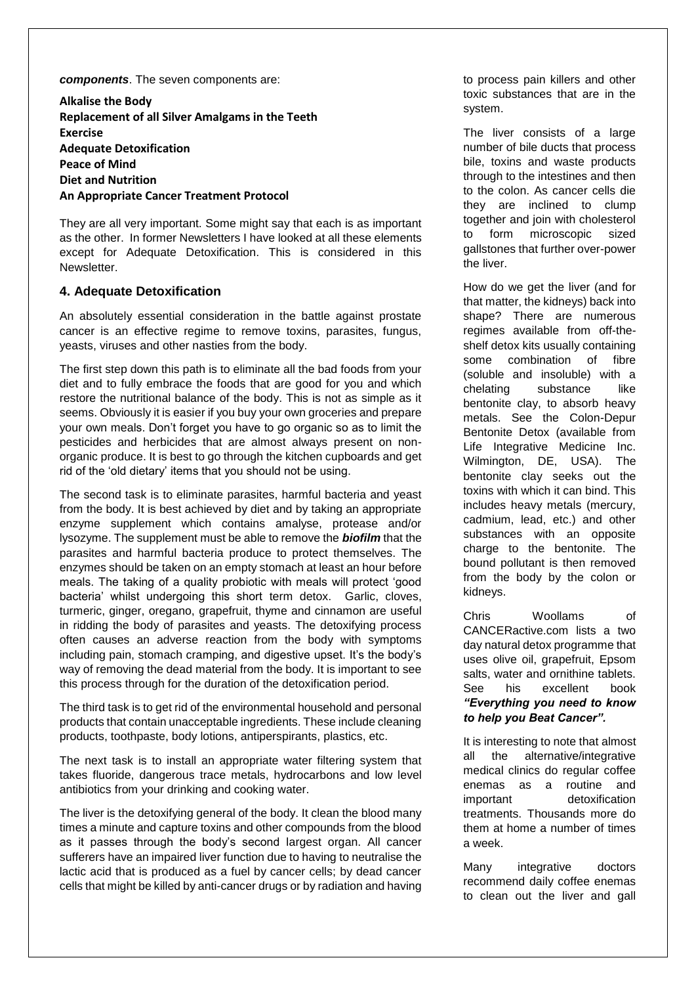*components*. The seven components are:

**Alkalise the Body Replacement of all Silver Amalgams in the Teeth Exercise Adequate Detoxification Peace of Mind Diet and Nutrition An Appropriate Cancer Treatment Protocol**

They are all very important. Some might say that each is as important as the other. In former Newsletters I have looked at all these elements except for Adequate Detoxification. This is considered in this **Newsletter** 

#### **4. Adequate Detoxification**

An absolutely essential consideration in the battle against prostate cancer is an effective regime to remove toxins, parasites, fungus, yeasts, viruses and other nasties from the body.

The first step down this path is to eliminate all the bad foods from your diet and to fully embrace the foods that are good for you and which restore the nutritional balance of the body. This is not as simple as it seems. Obviously it is easier if you buy your own groceries and prepare your own meals. Don't forget you have to go organic so as to limit the pesticides and herbicides that are almost always present on nonorganic produce. It is best to go through the kitchen cupboards and get rid of the 'old dietary' items that you should not be using.

The second task is to eliminate parasites, harmful bacteria and yeast from the body. It is best achieved by diet and by taking an appropriate enzyme supplement which contains amalyse, protease and/or lysozyme. The supplement must be able to remove the *biofilm* that the parasites and harmful bacteria produce to protect themselves. The enzymes should be taken on an empty stomach at least an hour before meals. The taking of a quality probiotic with meals will protect 'good bacteria' whilst undergoing this short term detox. Garlic, cloves, turmeric, ginger, oregano, grapefruit, thyme and cinnamon are useful in ridding the body of parasites and yeasts. The detoxifying process often causes an adverse reaction from the body with symptoms including pain, stomach cramping, and digestive upset. It's the body's way of removing the dead material from the body. It is important to see this process through for the duration of the detoxification period.

The third task is to get rid of the environmental household and personal products that contain unacceptable ingredients. These include cleaning products, toothpaste, body lotions, antiperspirants, plastics, etc.

The next task is to install an appropriate water filtering system that takes fluoride, dangerous trace metals, hydrocarbons and low level antibiotics from your drinking and cooking water.

The liver is the detoxifying general of the body. It clean the blood many times a minute and capture toxins and other compounds from the blood as it passes through the body's second largest organ. All cancer sufferers have an impaired liver function due to having to neutralise the lactic acid that is produced as a fuel by cancer cells; by dead cancer cells that might be killed by anti-cancer drugs or by radiation and having to process pain killers and other toxic substances that are in the system.

The liver consists of a large number of bile ducts that process bile, toxins and waste products through to the intestines and then to the colon. As cancer cells die they are inclined to clump together and join with cholesterol to form microscopic sized gallstones that further over-power the liver.

How do we get the liver (and for that matter, the kidneys) back into shape? There are numerous regimes available from off-theshelf detox kits usually containing some combination of fibre (soluble and insoluble) with a chelating substance like bentonite clay, to absorb heavy metals. See the Colon-Depur Bentonite Detox (available from Life Integrative Medicine Inc. Wilmington, DE, USA). The bentonite clay seeks out the toxins with which it can bind. This includes heavy metals (mercury, cadmium, lead, etc.) and other substances with an opposite charge to the bentonite. The bound pollutant is then removed from the body by the colon or kidneys.

Chris Woollams of CANCERactive.com lists a two day natural detox programme that uses olive oil, grapefruit, Epsom salts, water and ornithine tablets. See his excellent book *"Everything you need to know to help you Beat Cancer".*

It is interesting to note that almost all the alternative/integrative medical clinics do regular coffee enemas as a routine and important detoxification treatments. Thousands more do them at home a number of times a week.

Many integrative doctors recommend daily coffee enemas to clean out the liver and gall